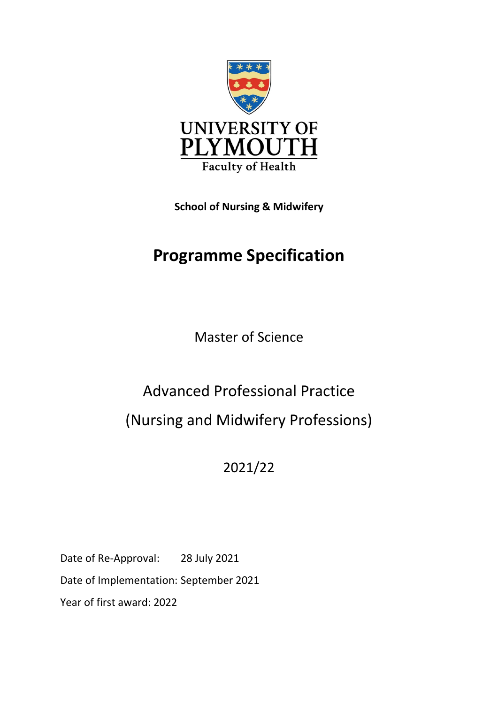

**School of Nursing & Midwifery**

# **Programme Specification**

Master of Science

# Advanced Professional Practice (Nursing and Midwifery Professions)

2021/22

Date of Re-Approval: 28 July 2021 Date of Implementation: September 2021 Year of first award: 2022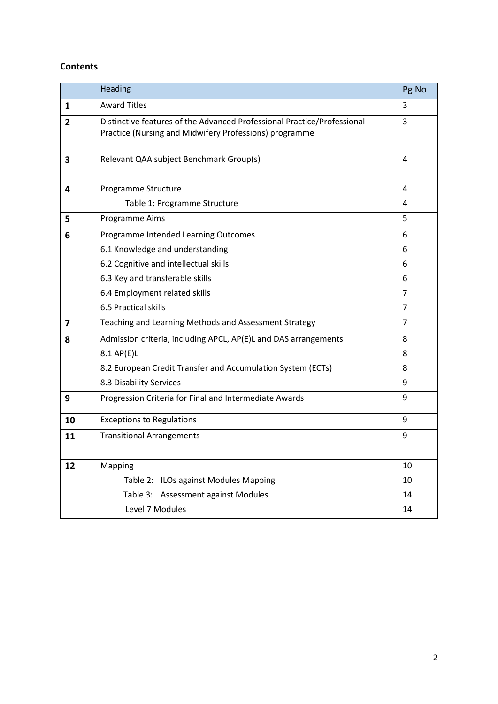# **Contents**

|                | Heading                                                                                                                           | Pg No          |  |  |  |  |  |  |  |  |
|----------------|-----------------------------------------------------------------------------------------------------------------------------------|----------------|--|--|--|--|--|--|--|--|
| 1              | <b>Award Titles</b>                                                                                                               | 3              |  |  |  |  |  |  |  |  |
| $\overline{2}$ | Distinctive features of the Advanced Professional Practice/Professional<br>Practice (Nursing and Midwifery Professions) programme | $\overline{3}$ |  |  |  |  |  |  |  |  |
| 3              | Relevant QAA subject Benchmark Group(s)                                                                                           | 4              |  |  |  |  |  |  |  |  |
| 4              | Programme Structure                                                                                                               |                |  |  |  |  |  |  |  |  |
|                | Table 1: Programme Structure                                                                                                      | 4              |  |  |  |  |  |  |  |  |
| 5              | Programme Aims                                                                                                                    | 5              |  |  |  |  |  |  |  |  |
| 6              | Programme Intended Learning Outcomes                                                                                              | 6              |  |  |  |  |  |  |  |  |
|                | 6.1 Knowledge and understanding                                                                                                   | 6              |  |  |  |  |  |  |  |  |
|                | 6.2 Cognitive and intellectual skills                                                                                             | 6              |  |  |  |  |  |  |  |  |
|                | 6.3 Key and transferable skills                                                                                                   | 6              |  |  |  |  |  |  |  |  |
|                | 6.4 Employment related skills                                                                                                     | 7              |  |  |  |  |  |  |  |  |
|                | 6.5 Practical skills                                                                                                              | 7              |  |  |  |  |  |  |  |  |
| 7              | Teaching and Learning Methods and Assessment Strategy                                                                             |                |  |  |  |  |  |  |  |  |
| 8              | Admission criteria, including APCL, AP(E)L and DAS arrangements                                                                   | 8              |  |  |  |  |  |  |  |  |
|                | $8.1$ AP(E)L                                                                                                                      | 8              |  |  |  |  |  |  |  |  |
|                | 8.2 European Credit Transfer and Accumulation System (ECTs)                                                                       | 8              |  |  |  |  |  |  |  |  |
|                | 8.3 Disability Services                                                                                                           | 9              |  |  |  |  |  |  |  |  |
| 9              | Progression Criteria for Final and Intermediate Awards                                                                            | 9              |  |  |  |  |  |  |  |  |
| 10             | <b>Exceptions to Regulations</b>                                                                                                  | 9              |  |  |  |  |  |  |  |  |
| 11             | <b>Transitional Arrangements</b>                                                                                                  | 9              |  |  |  |  |  |  |  |  |
|                |                                                                                                                                   |                |  |  |  |  |  |  |  |  |
| 12             | Mapping                                                                                                                           | 10             |  |  |  |  |  |  |  |  |
|                | Table 2: ILOs against Modules Mapping                                                                                             | 10             |  |  |  |  |  |  |  |  |
|                | Table 3: Assessment against Modules                                                                                               | 14             |  |  |  |  |  |  |  |  |
|                | Level 7 Modules                                                                                                                   | 14             |  |  |  |  |  |  |  |  |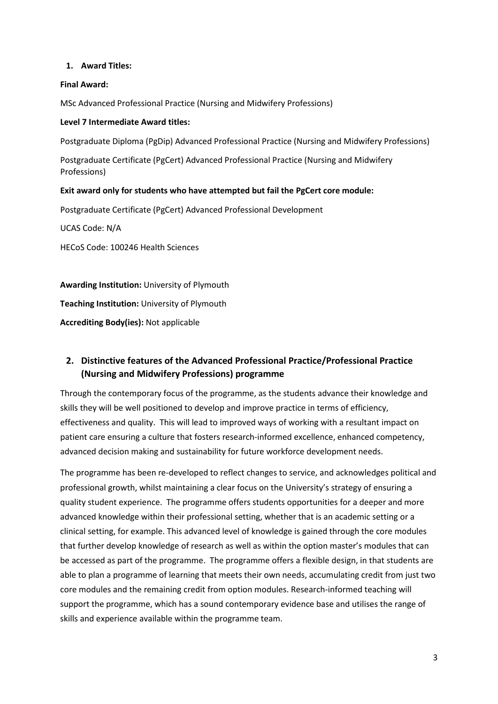#### **1. Award Titles:**

#### **Final Award:**

MSc Advanced Professional Practice (Nursing and Midwifery Professions)

#### **Level 7 Intermediate Award titles:**

Postgraduate Diploma (PgDip) Advanced Professional Practice (Nursing and Midwifery Professions)

Postgraduate Certificate (PgCert) Advanced Professional Practice (Nursing and Midwifery Professions)

#### **Exit award only for students who have attempted but fail the PgCert core module:**

Postgraduate Certificate (PgCert) Advanced Professional Development

UCAS Code: N/A

HECoS Code: 100246 Health Sciences

**Awarding Institution:** University of Plymouth **Teaching Institution:** University of Plymouth **Accrediting Body(ies):** Not applicable

# **2. Distinctive features of the Advanced Professional Practice/Professional Practice (Nursing and Midwifery Professions) programme**

Through the contemporary focus of the programme, as the students advance their knowledge and skills they will be well positioned to develop and improve practice in terms of efficiency, effectiveness and quality. This will lead to improved ways of working with a resultant impact on patient care ensuring a culture that fosters research-informed excellence, enhanced competency, advanced decision making and sustainability for future workforce development needs.

The programme has been re-developed to reflect changes to service, and acknowledges political and professional growth, whilst maintaining a clear focus on the University's strategy of ensuring a quality student experience. The programme offers students opportunities for a deeper and more advanced knowledge within their professional setting, whether that is an academic setting or a clinical setting, for example. This advanced level of knowledge is gained through the core modules that further develop knowledge of research as well as within the option master's modules that can be accessed as part of the programme. The programme offers a flexible design, in that students are able to plan a programme of learning that meets their own needs, accumulating credit from just two core modules and the remaining credit from option modules. Research-informed teaching will support the programme, which has a sound contemporary evidence base and utilises the range of skills and experience available within the programme team.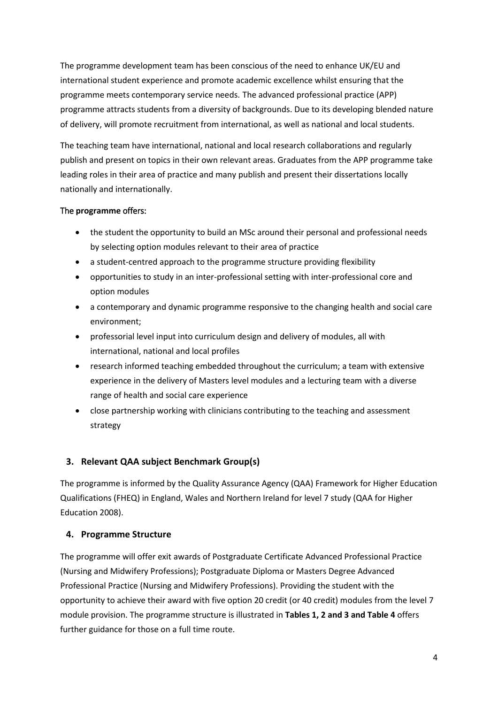The programme development team has been conscious of the need to enhance UK/EU and international student experience and promote academic excellence whilst ensuring that the programme meets contemporary service needs. The advanced professional practice (APP) programme attracts students from a diversity of backgrounds. Due to its developing blended nature of delivery, will promote recruitment from international, as well as national and local students.

The teaching team have international, national and local research collaborations and regularly publish and present on topics in their own relevant areas. Graduates from the APP programme take leading roles in their area of practice and many publish and present their dissertations locally nationally and internationally.

#### The **programme** offers:

- the student the opportunity to build an MSc around their personal and professional needs by selecting option modules relevant to their area of practice
- a student-centred approach to the programme structure providing flexibility
- opportunities to study in an inter-professional setting with inter-professional core and option modules
- a contemporary and dynamic programme responsive to the changing health and social care environment;
- professorial level input into curriculum design and delivery of modules, all with international, national and local profiles
- research informed teaching embedded throughout the curriculum; a team with extensive experience in the delivery of Masters level modules and a lecturing team with a diverse range of health and social care experience
- close partnership working with clinicians contributing to the teaching and assessment strategy

# **3. Relevant QAA subject Benchmark Group(s)**

The programme is informed by the Quality Assurance Agency (QAA) Framework for Higher Education Qualifications (FHEQ) in England, Wales and Northern Ireland for level 7 study (QAA for Higher Education 2008).

# **4. Programme Structure**

The programme will offer exit awards of Postgraduate Certificate Advanced Professional Practice (Nursing and Midwifery Professions); Postgraduate Diploma or Masters Degree Advanced Professional Practice (Nursing and Midwifery Professions). Providing the student with the opportunity to achieve their award with five option 20 credit (or 40 credit) modules from the level 7 module provision. The programme structure is illustrated in **Tables 1, 2 and 3 and Table 4** offers further guidance for those on a full time route.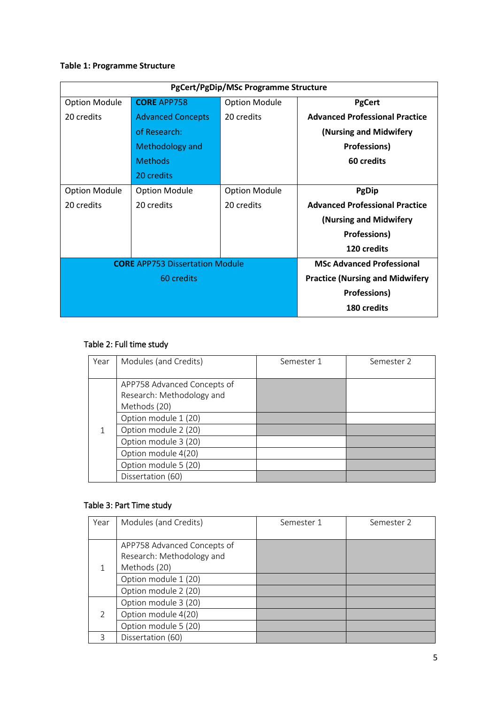# **Table 1: Programme Structure**

| PgCert/PgDip/MSc Programme Structure |                                        |                                        |                                       |  |  |  |  |  |  |  |  |
|--------------------------------------|----------------------------------------|----------------------------------------|---------------------------------------|--|--|--|--|--|--|--|--|
| <b>Option Module</b>                 | <b>CORE APP758</b>                     | <b>Option Module</b>                   | <b>PgCert</b>                         |  |  |  |  |  |  |  |  |
| 20 credits                           | <b>Advanced Concepts</b>               | 20 credits                             | <b>Advanced Professional Practice</b> |  |  |  |  |  |  |  |  |
|                                      | of Research:                           |                                        | (Nursing and Midwifery                |  |  |  |  |  |  |  |  |
|                                      | Methodology and                        |                                        | <b>Professions)</b>                   |  |  |  |  |  |  |  |  |
|                                      | <b>Methods</b>                         |                                        | 60 credits                            |  |  |  |  |  |  |  |  |
|                                      | 20 credits                             |                                        |                                       |  |  |  |  |  |  |  |  |
| <b>Option Module</b>                 | <b>Option Module</b>                   | <b>Option Module</b>                   | <b>PgDip</b>                          |  |  |  |  |  |  |  |  |
| 20 credits                           | 20 credits                             | 20 credits                             | <b>Advanced Professional Practice</b> |  |  |  |  |  |  |  |  |
|                                      |                                        |                                        | (Nursing and Midwifery                |  |  |  |  |  |  |  |  |
|                                      |                                        |                                        | <b>Professions)</b>                   |  |  |  |  |  |  |  |  |
|                                      |                                        |                                        | 120 credits                           |  |  |  |  |  |  |  |  |
|                                      | <b>CORE</b> APP753 Dissertation Module |                                        | <b>MSc Advanced Professional</b>      |  |  |  |  |  |  |  |  |
|                                      | 60 credits                             | <b>Practice (Nursing and Midwifery</b> |                                       |  |  |  |  |  |  |  |  |
|                                      |                                        | <b>Professions)</b>                    |                                       |  |  |  |  |  |  |  |  |
|                                      |                                        |                                        | 180 credits                           |  |  |  |  |  |  |  |  |

# Table 2: Full time study

| Year | Modules (and Credits)                                                    | Semester 1 | Semester 2 |
|------|--------------------------------------------------------------------------|------------|------------|
|      | APP758 Advanced Concepts of<br>Research: Methodology and<br>Methods (20) |            |            |
|      | Option module 1 (20)                                                     |            |            |
|      | Option module 2 (20)                                                     |            |            |
|      | Option module 3 (20)                                                     |            |            |
|      | Option module 4(20)                                                      |            |            |
|      | Option module 5 (20)                                                     |            |            |
|      | Dissertation (60)                                                        |            |            |

# Table 3: Part Time study

| Year          | Modules (and Credits)                                                    | Semester 1 | Semester 2 |
|---------------|--------------------------------------------------------------------------|------------|------------|
|               | APP758 Advanced Concepts of<br>Research: Methodology and<br>Methods (20) |            |            |
|               | Option module 1 (20)<br>Option module 2 (20)                             |            |            |
|               | Option module 3 (20)                                                     |            |            |
| $\mathcal{P}$ | Option module 4(20)                                                      |            |            |
|               | Option module 5 (20)                                                     |            |            |
|               | Dissertation (60)                                                        |            |            |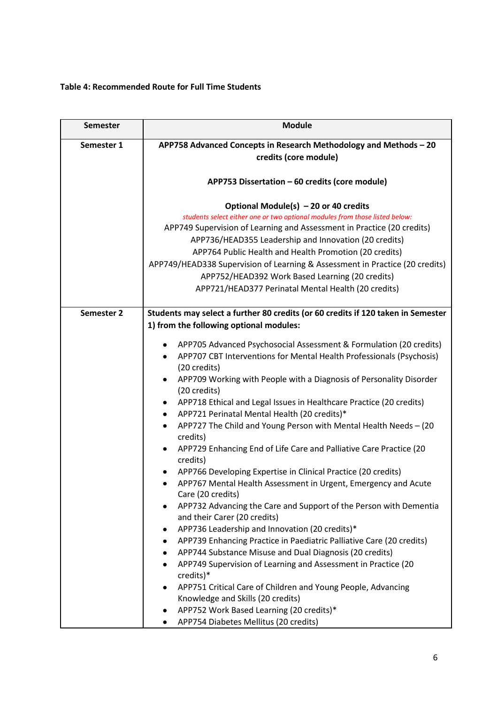# **Table 4: Recommended Route for Full Time Students**

| <b>Semester</b> | <b>Module</b>                                                                                                          |  |  |  |  |  |  |  |  |  |
|-----------------|------------------------------------------------------------------------------------------------------------------------|--|--|--|--|--|--|--|--|--|
| Semester 1      | APP758 Advanced Concepts in Research Methodology and Methods - 20                                                      |  |  |  |  |  |  |  |  |  |
|                 | credits (core module)                                                                                                  |  |  |  |  |  |  |  |  |  |
|                 |                                                                                                                        |  |  |  |  |  |  |  |  |  |
|                 | APP753 Dissertation - 60 credits (core module)                                                                         |  |  |  |  |  |  |  |  |  |
|                 |                                                                                                                        |  |  |  |  |  |  |  |  |  |
|                 | Optional Module(s) - 20 or 40 credits                                                                                  |  |  |  |  |  |  |  |  |  |
|                 | students select either one or two optional modules from those listed below:                                            |  |  |  |  |  |  |  |  |  |
|                 | APP749 Supervision of Learning and Assessment in Practice (20 credits)                                                 |  |  |  |  |  |  |  |  |  |
|                 | APP736/HEAD355 Leadership and Innovation (20 credits)                                                                  |  |  |  |  |  |  |  |  |  |
|                 | APP764 Public Health and Health Promotion (20 credits)                                                                 |  |  |  |  |  |  |  |  |  |
|                 | APP749/HEAD338 Supervision of Learning & Assessment in Practice (20 credits)                                           |  |  |  |  |  |  |  |  |  |
|                 | APP752/HEAD392 Work Based Learning (20 credits)                                                                        |  |  |  |  |  |  |  |  |  |
|                 | APP721/HEAD377 Perinatal Mental Health (20 credits)                                                                    |  |  |  |  |  |  |  |  |  |
| Semester 2      | Students may select a further 80 credits (or 60 credits if 120 taken in Semester                                       |  |  |  |  |  |  |  |  |  |
|                 | 1) from the following optional modules:                                                                                |  |  |  |  |  |  |  |  |  |
|                 | APP705 Advanced Psychosocial Assessment & Formulation (20 credits)                                                     |  |  |  |  |  |  |  |  |  |
|                 | APP707 CBT Interventions for Mental Health Professionals (Psychosis)                                                   |  |  |  |  |  |  |  |  |  |
|                 | (20 credits)                                                                                                           |  |  |  |  |  |  |  |  |  |
|                 | APP709 Working with People with a Diagnosis of Personality Disorder                                                    |  |  |  |  |  |  |  |  |  |
|                 | (20 credits)                                                                                                           |  |  |  |  |  |  |  |  |  |
|                 | APP718 Ethical and Legal Issues in Healthcare Practice (20 credits)                                                    |  |  |  |  |  |  |  |  |  |
|                 | APP721 Perinatal Mental Health (20 credits)*<br>٠                                                                      |  |  |  |  |  |  |  |  |  |
|                 | APP727 The Child and Young Person with Mental Health Needs - (20<br>٠<br>credits)                                      |  |  |  |  |  |  |  |  |  |
|                 | APP729 Enhancing End of Life Care and Palliative Care Practice (20<br>٠                                                |  |  |  |  |  |  |  |  |  |
|                 | credits)                                                                                                               |  |  |  |  |  |  |  |  |  |
|                 | APP766 Developing Expertise in Clinical Practice (20 credits)                                                          |  |  |  |  |  |  |  |  |  |
|                 | APP767 Mental Health Assessment in Urgent, Emergency and Acute<br>٠                                                    |  |  |  |  |  |  |  |  |  |
|                 | Care (20 credits)                                                                                                      |  |  |  |  |  |  |  |  |  |
|                 | APP732 Advancing the Care and Support of the Person with Dementia                                                      |  |  |  |  |  |  |  |  |  |
|                 | and their Carer (20 credits)                                                                                           |  |  |  |  |  |  |  |  |  |
|                 | APP736 Leadership and Innovation (20 credits)*<br>APP739 Enhancing Practice in Paediatric Palliative Care (20 credits) |  |  |  |  |  |  |  |  |  |
|                 | $\bullet$<br>APP744 Substance Misuse and Dual Diagnosis (20 credits)                                                   |  |  |  |  |  |  |  |  |  |
|                 | APP749 Supervision of Learning and Assessment in Practice (20                                                          |  |  |  |  |  |  |  |  |  |
|                 | credits)*                                                                                                              |  |  |  |  |  |  |  |  |  |
|                 | APP751 Critical Care of Children and Young People, Advancing                                                           |  |  |  |  |  |  |  |  |  |
|                 | Knowledge and Skills (20 credits)                                                                                      |  |  |  |  |  |  |  |  |  |
|                 | APP752 Work Based Learning (20 credits)*                                                                               |  |  |  |  |  |  |  |  |  |
|                 | APP754 Diabetes Mellitus (20 credits)                                                                                  |  |  |  |  |  |  |  |  |  |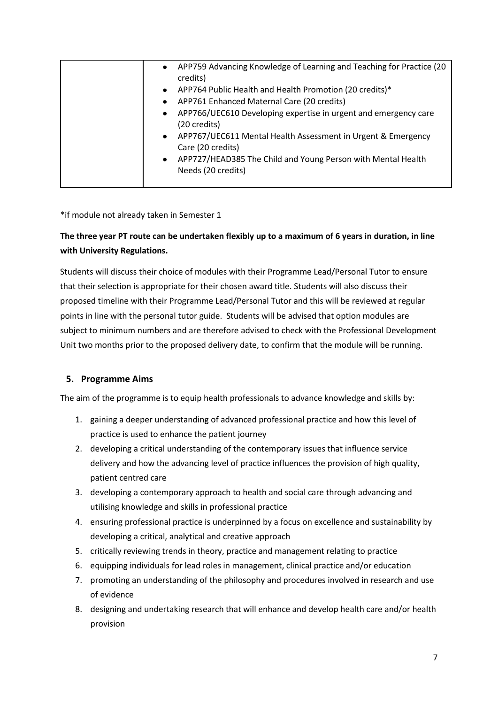|  | $\bullet$ | APP759 Advancing Knowledge of Learning and Teaching for Practice (20<br>credits)   |
|--|-----------|------------------------------------------------------------------------------------|
|  | $\bullet$ | APP764 Public Health and Health Promotion (20 credits)*                            |
|  | $\bullet$ | APP761 Enhanced Maternal Care (20 credits)                                         |
|  | $\bullet$ | APP766/UEC610 Developing expertise in urgent and emergency care<br>(20 credits)    |
|  | $\bullet$ | APP767/UEC611 Mental Health Assessment in Urgent & Emergency<br>Care (20 credits)  |
|  | $\bullet$ | APP727/HEAD385 The Child and Young Person with Mental Health<br>Needs (20 credits) |
|  |           |                                                                                    |

\*if module not already taken in Semester 1

# **The three year PT route can be undertaken flexibly up to a maximum of 6 years in duration, in line with University Regulations.**

Students will discuss their choice of modules with their Programme Lead/Personal Tutor to ensure that their selection is appropriate for their chosen award title. Students will also discuss their proposed timeline with their Programme Lead/Personal Tutor and this will be reviewed at regular points in line with the personal tutor guide. Students will be advised that option modules are subject to minimum numbers and are therefore advised to check with the Professional Development Unit two months prior to the proposed delivery date, to confirm that the module will be running.

# **5. Programme Aims**

The aim of the programme is to equip health professionals to advance knowledge and skills by:

- 1. gaining a deeper understanding of advanced professional practice and how this level of practice is used to enhance the patient journey
- 2. developing a critical understanding of the contemporary issues that influence service delivery and how the advancing level of practice influences the provision of high quality, patient centred care
- 3. developing a contemporary approach to health and social care through advancing and utilising knowledge and skills in professional practice
- 4. ensuring professional practice is underpinned by a focus on excellence and sustainability by developing a critical, analytical and creative approach
- 5. critically reviewing trends in theory, practice and management relating to practice
- 6. equipping individuals for lead roles in management, clinical practice and/or education
- 7. promoting an understanding of the philosophy and procedures involved in research and use of evidence
- 8. designing and undertaking research that will enhance and develop health care and/or health provision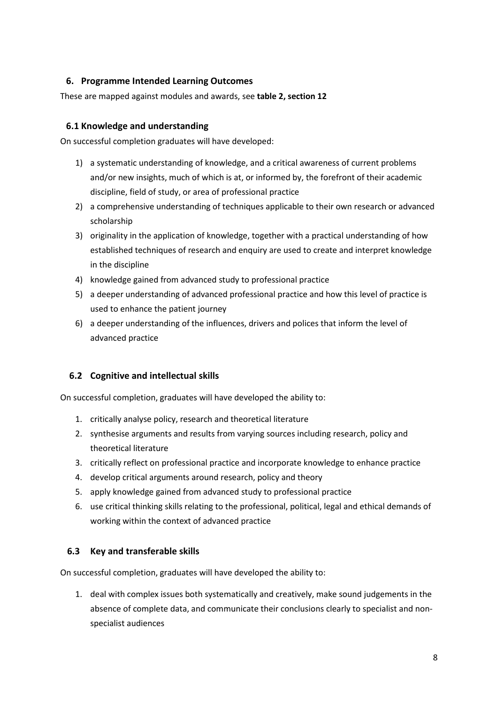# **6. Programme Intended Learning Outcomes**

These are mapped against modules and awards, see **table 2, section 12**

# **6.1 Knowledge and understanding**

On successful completion graduates will have developed:

- 1) a systematic understanding of knowledge, and a critical awareness of current problems and/or new insights, much of which is at, or informed by, the forefront of their academic discipline, field of study, or area of professional practice
- 2) a comprehensive understanding of techniques applicable to their own research or advanced scholarship
- 3) originality in the application of knowledge, together with a practical understanding of how established techniques of research and enquiry are used to create and interpret knowledge in the discipline
- 4) knowledge gained from advanced study to professional practice
- 5) a deeper understanding of advanced professional practice and how this level of practice is used to enhance the patient journey
- 6) a deeper understanding of the influences, drivers and polices that inform the level of advanced practice

# **6.2 Cognitive and intellectual skills**

On successful completion, graduates will have developed the ability to:

- 1. critically analyse policy, research and theoretical literature
- 2. synthesise arguments and results from varying sources including research, policy and theoretical literature
- 3. critically reflect on professional practice and incorporate knowledge to enhance practice
- 4. develop critical arguments around research, policy and theory
- 5. apply knowledge gained from advanced study to professional practice
- 6. use critical thinking skills relating to the professional, political, legal and ethical demands of working within the context of advanced practice

# **6.3 Key and transferable skills**

On successful completion, graduates will have developed the ability to:

1. deal with complex issues both systematically and creatively, make sound judgements in the absence of complete data, and communicate their conclusions clearly to specialist and nonspecialist audiences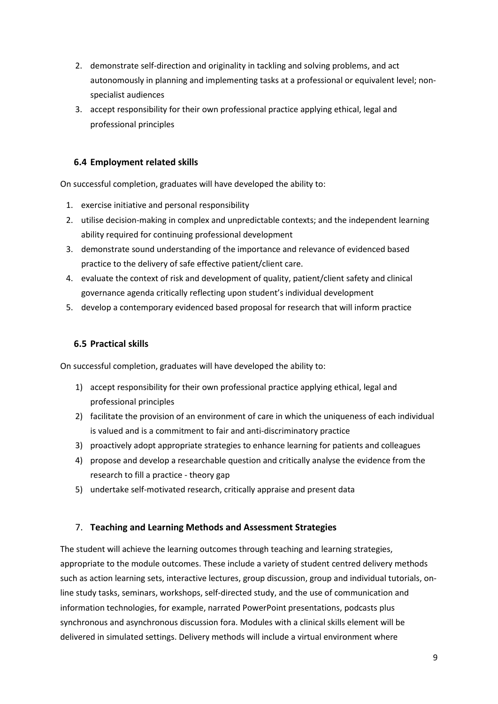- 2. demonstrate self-direction and originality in tackling and solving problems, and act autonomously in planning and implementing tasks at a professional or equivalent level; nonspecialist audiences
- 3. accept responsibility for their own professional practice applying ethical, legal and professional principles

# **6.4 Employment related skills**

On successful completion, graduates will have developed the ability to:

- 1. exercise initiative and personal responsibility
- 2. utilise decision-making in complex and unpredictable contexts; and the independent learning ability required for continuing professional development
- 3. demonstrate sound understanding of the importance and relevance of evidenced based practice to the delivery of safe effective patient/client care.
- 4. evaluate the context of risk and development of quality, patient/client safety and clinical governance agenda critically reflecting upon student's individual development
- 5. develop a contemporary evidenced based proposal for research that will inform practice

# **6.5 Practical skills**

On successful completion, graduates will have developed the ability to:

- 1) accept responsibility for their own professional practice applying ethical, legal and professional principles
- 2) facilitate the provision of an environment of care in which the uniqueness of each individual is valued and is a commitment to fair and anti-discriminatory practice
- 3) proactively adopt appropriate strategies to enhance learning for patients and colleagues
- 4) propose and develop a researchable question and critically analyse the evidence from the research to fill a practice - theory gap
- 5) undertake self-motivated research, critically appraise and present data

# 7. **Teaching and Learning Methods and Assessment Strategies**

The student will achieve the learning outcomes through teaching and learning strategies, appropriate to the module outcomes. These include a variety of student centred delivery methods such as action learning sets, interactive lectures, group discussion, group and individual tutorials, online study tasks, seminars, workshops, self-directed study, and the use of communication and information technologies, for example, narrated PowerPoint presentations, podcasts plus synchronous and asynchronous discussion fora. Modules with a clinical skills element will be delivered in simulated settings. Delivery methods will include a virtual environment where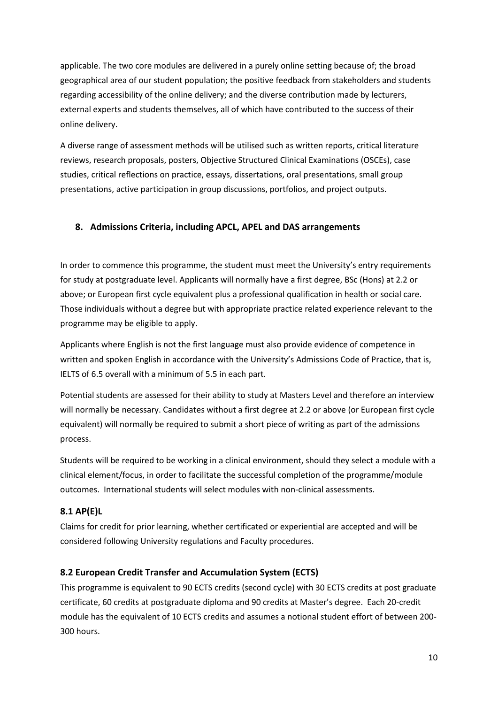applicable. The two core modules are delivered in a purely online setting because of; the broad geographical area of our student population; the positive feedback from stakeholders and students regarding accessibility of the online delivery; and the diverse contribution made by lecturers, external experts and students themselves, all of which have contributed to the success of their online delivery.

A diverse range of assessment methods will be utilised such as written reports, critical literature reviews, research proposals, posters, Objective Structured Clinical Examinations (OSCEs), case studies, critical reflections on practice, essays, dissertations, oral presentations, small group presentations, active participation in group discussions, portfolios, and project outputs.

# **8. Admissions Criteria, including APCL, APEL and DAS arrangements**

In order to commence this programme, the student must meet the University's entry requirements for study at postgraduate level. Applicants will normally have a first degree, BSc (Hons) at 2.2 or above; or European first cycle equivalent plus a professional qualification in health or social care. Those individuals without a degree but with appropriate practice related experience relevant to the programme may be eligible to apply.

Applicants where English is not the first language must also provide evidence of competence in written and spoken English in accordance with the University's Admissions Code of Practice, that is, IELTS of 6.5 overall with a minimum of 5.5 in each part.

Potential students are assessed for their ability to study at Masters Level and therefore an interview will normally be necessary. Candidates without a first degree at 2.2 or above (or European first cycle equivalent) will normally be required to submit a short piece of writing as part of the admissions process.

Students will be required to be working in a clinical environment, should they select a module with a clinical element/focus, in order to facilitate the successful completion of the programme/module outcomes. International students will select modules with non-clinical assessments.

# **8.1 AP(E)L**

Claims for credit for prior learning, whether certificated or experiential are accepted and will be considered following University regulations and Faculty procedures.

# **8.2 European Credit Transfer and Accumulation System (ECTS)**

This programme is equivalent to 90 ECTS credits (second cycle) with 30 ECTS credits at post graduate certificate, 60 credits at postgraduate diploma and 90 credits at Master's degree. Each 20-credit module has the equivalent of 10 ECTS credits and assumes a notional student effort of between 200- 300 hours.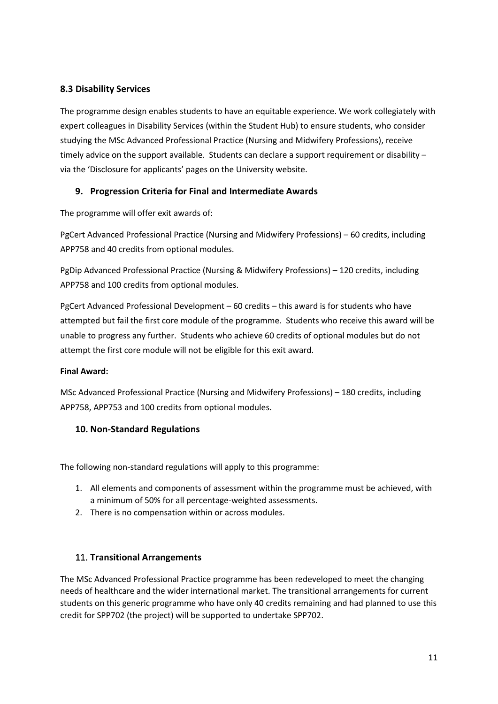# **8.3 Disability Services**

The programme design enables students to have an equitable experience. We work collegiately with expert colleagues in Disability Services (within the Student Hub) to ensure students, who consider studying the MSc Advanced Professional Practice (Nursing and Midwifery Professions), receive timely advice on the support available. Students can declare a support requirement or disability – via the 'Disclosure for applicants' pages on the University website.

# **9. Progression Criteria for Final and Intermediate Awards**

The programme will offer exit awards of:

PgCert Advanced Professional Practice (Nursing and Midwifery Professions) – 60 credits, including APP758 and 40 credits from optional modules.

PgDip Advanced Professional Practice (Nursing & Midwifery Professions) – 120 credits, including APP758 and 100 credits from optional modules.

PgCert Advanced Professional Development – 60 credits – this award is for students who have attempted but fail the first core module of the programme. Students who receive this award will be unable to progress any further. Students who achieve 60 credits of optional modules but do not attempt the first core module will not be eligible for this exit award.

# **Final Award:**

MSc Advanced Professional Practice (Nursing and Midwifery Professions) – 180 credits, including APP758, APP753 and 100 credits from optional modules.

# **10. Non-Standard Regulations**

The following non-standard regulations will apply to this programme:

- 1. All elements and components of assessment within the programme must be achieved, with a minimum of 50% for all percentage-weighted assessments.
- 2. There is no compensation within or across modules.

# 11. **Transitional Arrangements**

The MSc Advanced Professional Practice programme has been redeveloped to meet the changing needs of healthcare and the wider international market. The transitional arrangements for current students on this generic programme who have only 40 credits remaining and had planned to use this credit for SPP702 (the project) will be supported to undertake SPP702.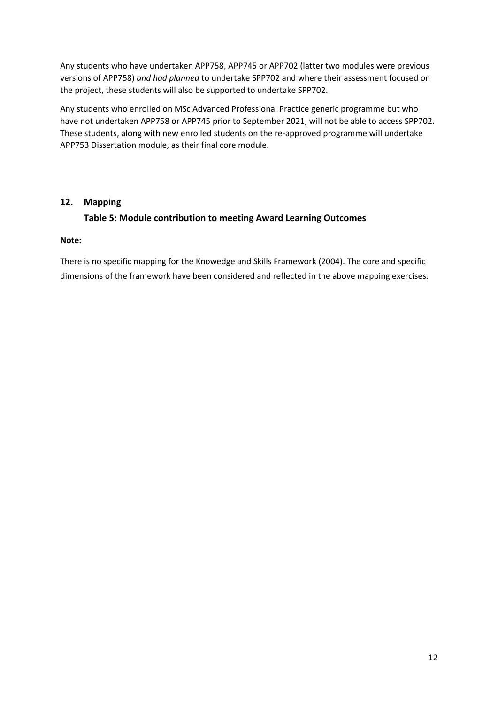Any students who have undertaken APP758, APP745 or APP702 (latter two modules were previous versions of APP758) *and had planned* to undertake SPP702 and where their assessment focused on the project, these students will also be supported to undertake SPP702.

Any students who enrolled on MSc Advanced Professional Practice generic programme but who have not undertaken APP758 or APP745 prior to September 2021, will not be able to access SPP702. These students, along with new enrolled students on the re-approved programme will undertake APP753 Dissertation module, as their final core module.

# **12. Mapping**

# **Table 5: Module contribution to meeting Award Learning Outcomes**

#### **Note:**

There is no specific mapping for the Knowedge and Skills Framework (2004). The core and specific dimensions of the framework have been considered and reflected in the above mapping exercises.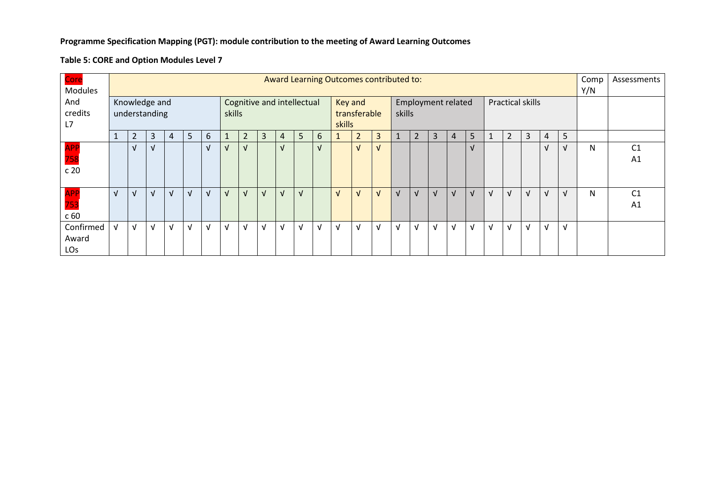#### **Programme Specification Mapping (PGT): module contribution to the meeting of Award Learning Outcomes**

#### **Table 5: CORE and Option Modules Level 7**

| Core            | Award Learning Outcomes contributed to:     |            |            |   |   |            |            |                |            |                                             |   |              |            |                |            | Comp       | Assessments             |            |            |            |            |                |   |    |            |   |                |
|-----------------|---------------------------------------------|------------|------------|---|---|------------|------------|----------------|------------|---------------------------------------------|---|--------------|------------|----------------|------------|------------|-------------------------|------------|------------|------------|------------|----------------|---|----|------------|---|----------------|
| <b>Modules</b>  |                                             |            |            |   |   |            |            |                |            |                                             |   |              |            | Y/N            |            |            |                         |            |            |            |            |                |   |    |            |   |                |
| And             | Knowledge and<br>Cognitive and intellectual |            |            |   |   |            |            |                |            | <b>Employment related</b><br><b>Key and</b> |   |              |            |                |            |            | <b>Practical skills</b> |            |            |            |            |                |   |    |            |   |                |
| credits         | understanding                               |            |            |   |   |            | skills     |                |            |                                             |   | transferable |            |                | skills     |            |                         |            |            |            |            |                |   |    |            |   |                |
| L7              |                                             |            |            |   |   |            |            |                |            |                                             |   |              | skills     |                |            |            |                         |            |            |            |            |                |   |    |            |   |                |
|                 | ш                                           | 2          | 3          | 4 | 5 | 6          |            | $\overline{2}$ | 3          | 4                                           | 5 | 6            |            | $\overline{2}$ | 3          |            | 2                       | 3          | 4          | 5          | 1          | $\overline{2}$ | 3 | 4  | 5          |   |                |
| <b>APP</b>      |                                             | $\sqrt{ }$ | $\sqrt{ }$ |   |   | $\sqrt{ }$ | V          | V              |            | N                                           |   | ΔI           |            | $\sqrt{ }$     | $\sqrt{ }$ |            |                         |            |            | $\sqrt{ }$ |            |                |   |    | $\sqrt{ }$ | N | C <sub>1</sub> |
| 758             |                                             |            |            |   |   |            |            |                |            |                                             |   |              |            |                |            |            |                         |            |            |            |            |                |   |    |            |   | A1             |
| c 20            |                                             |            |            |   |   |            |            |                |            |                                             |   |              |            |                |            |            |                         |            |            |            |            |                |   |    |            |   |                |
|                 |                                             |            |            |   |   |            |            |                |            |                                             |   |              |            |                |            |            |                         |            |            |            |            |                |   |    |            |   |                |
| <b>APP</b>      | $\sqrt{ }$                                  | $\sqrt{ }$ | $\sqrt{ }$ | N | V | $\sqrt{ }$ | $\sqrt{ }$ | $\sqrt{ }$     | $\sqrt{ }$ | $\sqrt{ }$                                  |   |              | $\sqrt{ }$ | $\sqrt{ }$     | $\sqrt{ }$ | $\sqrt{ }$ | v                       | $\sqrt{ }$ | $\sqrt{ }$ | $\sqrt{ }$ | $\sqrt{ }$ | $\sqrt{ }$     | V | V  | $\sqrt{ }$ | N | C <sub>1</sub> |
| 753             |                                             |            |            |   |   |            |            |                |            |                                             |   |              |            |                |            |            |                         |            |            |            |            |                |   |    |            |   | A1             |
| c 60            |                                             |            |            |   |   |            |            |                |            |                                             |   |              |            |                |            |            |                         |            |            |            |            |                |   |    |            |   |                |
| Confirmed       | v                                           | $\sqrt{ }$ | V          | N | V | $\sqrt{ }$ | √          | $\sqrt{ }$     | V          | $\sqrt{ }$                                  |   | V            | $\sqrt{ }$ | V              | $\sqrt{ }$ | $\sqrt{ }$ | V                       | $\sqrt{ }$ | $\sqrt{ }$ | $\sqrt{ }$ | v          | V              |   | νI | $\sqrt{ }$ |   |                |
| Award           |                                             |            |            |   |   |            |            |                |            |                                             |   |              |            |                |            |            |                         |            |            |            |            |                |   |    |            |   |                |
| LO <sub>S</sub> |                                             |            |            |   |   |            |            |                |            |                                             |   |              |            |                |            |            |                         |            |            |            |            |                |   |    |            |   |                |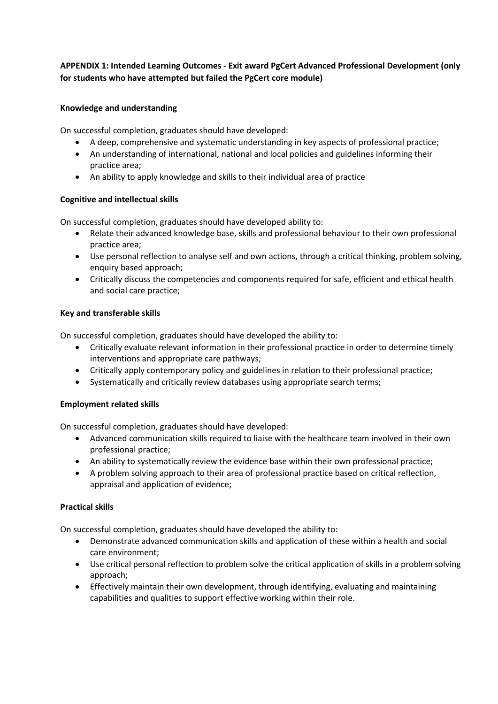# **APPENDIX 1: Intended Learning Outcomes - Exit award PgCert Advanced Professional Development (only for students who have attempted but failed the PgCert core module)**

#### **Knowledge and understanding**

On successful completion, graduates should have developed:

- A deep, comprehensive and systematic understanding in key aspects of professional practice;
- An understanding of international, national and local policies and guidelines informing their practice area;
- An ability to apply knowledge and skills to their individual area of practice

#### **Cognitive and intellectual skills**

On successful completion, graduates should have developed ability to:

- Relate their advanced knowledge base, skills and professional behaviour to their own professional practice area;
- Use personal reflection to analyse self and own actions, through a critical thinking, problem solving, enquiry based approach;
- Critically discuss the competencies and components required for safe, efficient and ethical health and social care practice;

#### **Key and transferable skills**

On successful completion, graduates should have developed the ability to:

- Critically evaluate relevant information in their professional practice in order to determine timely interventions and appropriate care pathways;
- Critically apply contemporary policy and guidelines in relation to their professional practice;
- Systematically and critically review databases using appropriate search terms;

#### **Employment related skills**

On successful completion, graduates should have developed:

- Advanced communication skills required to liaise with the healthcare team involved in their own professional practice;
- An ability to systematically review the evidence base within their own professional practice;
- A problem solving approach to their area of professional practice based on critical reflection, appraisal and application of evidence;

#### **Practical skills**

On successful completion, graduates should have developed the ability to:

- Demonstrate advanced communication skills and application of these within a health and social care environment;
- Use critical personal reflection to problem solve the critical application of skills in a problem solving approach;
- Effectively maintain their own development, through identifying, evaluating and maintaining capabilities and qualities to support effective working within their role.